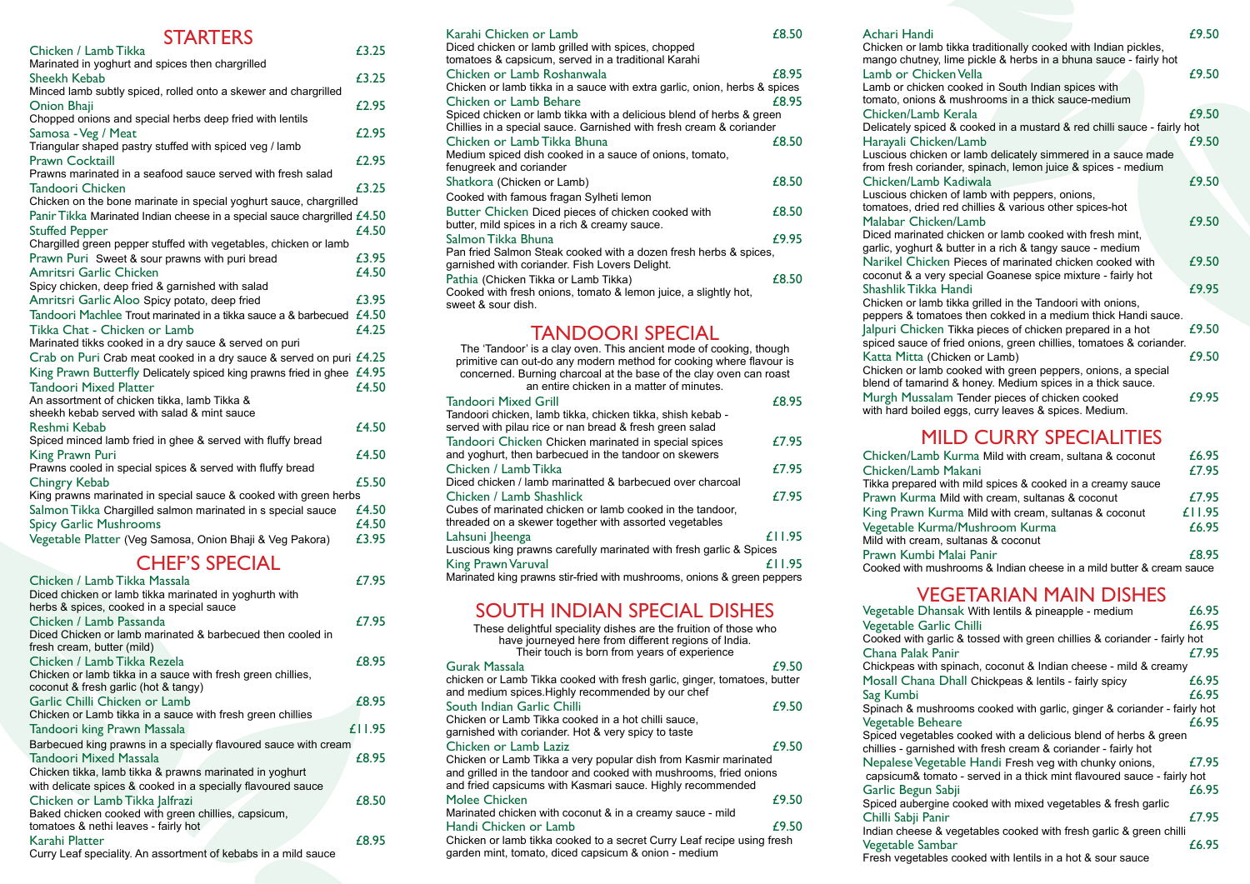#### **STARTERS**

| Chicken / Lamb Tikka                                                     | £3.25 |
|--------------------------------------------------------------------------|-------|
| Marinated in yoghurt and spices then chargrilled                         |       |
| Sheekh Kebab                                                             | £3.25 |
| Minced lamb subtly spiced, rolled onto a skewer and chargrilled          |       |
| <b>Onion Bhaji</b>                                                       | £2.95 |
| Chopped onions and special herbs deep fried with lentils                 |       |
| Samosa - Veg / Meat                                                      | £2.95 |
| Triangular shaped pastry stuffed with spiced veg / lamb                  |       |
| <b>Prawn Cocktaill</b>                                                   | £2.95 |
| Prawns marinated in a seafood sauce served with fresh salad              |       |
| Tandoori Chicken                                                         | £3.25 |
| Chicken on the bone marinate in special yoghurt sauce, chargrilled       |       |
| Panir Tikka Marinated Indian cheese in a special sauce chargrilled £4.50 |       |
| <b>Stuffed Pepper</b>                                                    | £4.50 |
| Chargilled green pepper stuffed with vegetables, chicken or lamb         |       |
| Prawn Puri Sweet & sour prawns with puri bread                           | £3.95 |
| Amritsri Garlic Chicken                                                  | f4.50 |
| Spicy chicken, deep fried & garnished with salad                         |       |
| Amritsri Garlic Aloo Spicy potato, deep fried                            | £3.95 |
| Tandoori Machlee Trout marinated in a tikka sauce a & barbecued          | £4.50 |
| Tikka Chat - Chicken or Lamb                                             | £4.25 |
| Marinated tikks cooked in a dry sauce & served on puri                   |       |
| Crab on Puri Crab meat cooked in a dry sauce & served on puri £4.25      |       |
| King Prawn Butterfly Delicately spiced king prawns fried in ghee         | £4.95 |
| <b>Tandoori Mixed Platter</b>                                            | £4.50 |
| An assortment of chicken tikka, lamb Tikka &                             |       |
| sheekh kebab served with salad & mint sauce                              |       |
| Reshmi Kebab                                                             | £4.50 |
| Spiced minced lamb fried in ghee & served with fluffy bread              |       |
| King Prawn Puri                                                          | £4.50 |
| Prawns cooled in special spices & served with fluffy bread               |       |
| Chingry Kebab                                                            | £5.50 |
| King prawns marinated in special sauce & cooked with green herbs         |       |
| Salmon Tikka Chargilled salmon marinated in s special sauce              | £4.50 |
| <b>Spicy Garlic Mushrooms</b>                                            | £4.50 |
| Vegetable Platter (Veg Samosa, Onion Bhaji & Veg Pakora)                 | £3.95 |

## CHEF'S SPECIAL

| Chicken / Lamb Tikka Massala                                    | £7.95  |
|-----------------------------------------------------------------|--------|
| Diced chicken or lamb tikka marinated in yoghurth with          |        |
| herbs & spices, cooked in a special sauce                       |        |
| Chicken / Lamb Passanda                                         | £7.95  |
| Diced Chicken or lamb marinated & barbecued then cooled in      |        |
| fresh cream, butter (mild)                                      |        |
| Chicken / Lamb Tikka Rezela                                     | £8.95  |
| Chicken or lamb tikka in a sauce with fresh green chillies,     |        |
| coconut & fresh garlic (hot & tangy)                            |        |
| Garlic Chilli Chicken or Lamb                                   | £8.95  |
| Chicken or Lamb tikka in a sauce with fresh green chillies      |        |
| Tandoori king Prawn Massala                                     | £11.95 |
| Barbecued king prawns in a specially flavoured sauce with cream |        |
| <b>Tandoori Mixed Massala</b>                                   | £8.95  |
| Chicken tikka, lamb tikka & prawns marinated in yoghurt         |        |
| with delicate spices & cooked in a specially flavoured sauce    |        |
| Chicken or Lamb Tikka Jalfrazi                                  | £8.50  |
| Baked chicken cooked with green chillies, capsicum,             |        |
| tomatoes & nethi leaves - fairly hot                            |        |
| Karahi Platter                                                  | £8.95  |
| Curry Leaf speciality. An assortment of kebabs in a mild sauce  |        |

| Karahi Chicken or Lamb                                                    | £8.50 |
|---------------------------------------------------------------------------|-------|
| Diced chicken or lamb grilled with spices, chopped                        |       |
| tomatoes & capsicum, served in a traditional Karahi                       |       |
| Chicken or Lamb Roshanwala                                                | £8.95 |
| Chicken or lamb tikka in a sauce with extra garlic, onion, herbs & spices |       |
| Chicken or Lamb Behare                                                    | £8.95 |
| Spiced chicken or lamb tikka with a delicious blend of herbs & green      |       |
| Chillies in a special sauce. Garnished with fresh cream & coriander       |       |
| Chicken or Lamb Tikka Bhuna                                               | £8.50 |
| Medium spiced dish cooked in a sauce of onions, tomato,                   |       |
| fenugreek and coriander                                                   |       |
| Shatkora (Chicken or Lamb)                                                | £8.50 |
| Cooked with famous fragan Sylheti lemon                                   |       |
| Butter Chicken Diced pieces of chicken cooked with                        | £8.50 |
| butter, mild spices in a rich & creamy sauce.                             |       |
| Salmon Tikka Bhuna                                                        | £9.95 |
| Pan fried Salmon Steak cooked with a dozen fresh herbs & spices,          |       |
| garnished with coriander. Fish Lovers Delight.                            |       |
| Pathia (Chicken Tikka or Lamb Tikka)                                      | £8.50 |
| Cooked with fresh onions, tomato & lemon juice, a slightly hot,           |       |
| sweet & sour dish.                                                        |       |
|                                                                           |       |

### TANDOORI SPECIAL

| The 'Tandoor' is a clay oven. This ancient mode of cooking, though      |  |
|-------------------------------------------------------------------------|--|
| primitive can out-do any modern method for cooking where flavour is     |  |
| concerned. Burning charcoal at the base of the clay oven can roast      |  |
| an entire chicken in a matter of minutes.                               |  |
|                                                                         |  |
| £8.95<br><b>Tandoori Mixed Grill</b>                                    |  |
| Tandoori chicken, lamb tikka, chicken tikka, shish kebab -              |  |
| served with pilau rice or nan bread & fresh green salad                 |  |
| £7.95<br>Tandoori Chicken Chicken marinated in special spices           |  |
| and yoghurt, then barbecued in the tandoor on skewers                   |  |
| Chicken / Lamb Tikka<br>£7.95                                           |  |
| Diced chicken / lamb marinatted & barbecued over charcoal               |  |
| £7.95<br>Chicken / Lamb Shashlick                                       |  |
| Cubes of marinated chicken or lamb cooked in the tandoor,               |  |
| threaded on a skewer together with assorted vegetables                  |  |
| £11.95<br>Lahsuni Iheenga                                               |  |
| Luscious king prawns carefully marinated with fresh garlic & Spices     |  |
| £11.95<br><b>King Prawn Varuval</b>                                     |  |
| Marinated king prawns stir-fried with mushrooms, onions & green peppers |  |

#### SOUTH INDIAN SPECIAL DISHES

| These delightful speciality dishes are the fruition of those who<br>have journeyed here from different regions of India.<br>Their touch is born from years of experience |  |
|--------------------------------------------------------------------------------------------------------------------------------------------------------------------------|--|
| £9.50<br>Gurak Massala                                                                                                                                                   |  |
| chicken or Lamb Tikka cooked with fresh garlic, ginger, tomatoes, butter<br>and medium spices. Highly recommended by our chef                                            |  |
| £9.50<br>South Indian Garlic Chilli                                                                                                                                      |  |
| Chicken or Lamb Tikka cooked in a hot chilli sauce,                                                                                                                      |  |
| garnished with coriander. Hot & very spicy to taste                                                                                                                      |  |
| £9.50<br>Chicken or Lamb Laziz                                                                                                                                           |  |
| Chicken or Lamb Tikka a very popular dish from Kasmir marinated                                                                                                          |  |
| and grilled in the tandoor and cooked with mushrooms, fried onions                                                                                                       |  |
| and fried capsicums with Kasmari sauce. Highly recommended                                                                                                               |  |
| Molee Chicken<br>£9.50                                                                                                                                                   |  |
| Marinated chicken with coconut & in a creamy sauce - mild                                                                                                                |  |
| £9.50<br>Handi Chicken or Lamb                                                                                                                                           |  |
| Chicken or lamb tikka cooked to a secret Curry Leaf recipe using fresh<br>garden mint, tomato, diced capsicum & onion - medium                                           |  |

| Achari Handi                                                                                                                                                                                                                                                             | £9.50 |
|--------------------------------------------------------------------------------------------------------------------------------------------------------------------------------------------------------------------------------------------------------------------------|-------|
| Chicken or lamb tikka traditionally cooked with Indian pickles,<br>mango chutney, lime pickle & herbs in a bhuna sauce - fairly hot<br>Lamb or Chicken Vella<br>Lamb or chicken cooked in South Indian spices with<br>tomato, onions & mushrooms in a thick sauce-medium | £9.50 |
| Chicken/Lamb Kerala                                                                                                                                                                                                                                                      | £9.50 |
| Delicately spiced & cooked in a mustard & red chilli sauce - fairly hot                                                                                                                                                                                                  |       |
| Harayali Chicken/Lamb                                                                                                                                                                                                                                                    | £9.50 |
| Luscious chicken or lamb delicately simmered in a sauce made<br>from fresh coriander, spinach, lemon juice & spices - medium                                                                                                                                             |       |
| Chicken/Lamb Kadiwala                                                                                                                                                                                                                                                    | £9.50 |
| Luscious chicken of lamb with peppers, onions,                                                                                                                                                                                                                           |       |
| tomatoes, dried red chillies & various other spices-hot                                                                                                                                                                                                                  |       |
| Malabar Chicken/Lamb                                                                                                                                                                                                                                                     | £9.50 |
| Diced marinated chicken or lamb cooked with fresh mint,<br>garlic, yoghurt & butter in a rich & tangy sauce - medium                                                                                                                                                     |       |
| Narikel Chicken Pieces of marinated chicken cooked with<br>coconut & a very special Goanese spice mixture - fairly hot                                                                                                                                                   | £9.50 |
| Shashlik Tikka Handi                                                                                                                                                                                                                                                     | £9.95 |
| Chicken or lamb tikka grilled in the Tandoori with onions,                                                                                                                                                                                                               |       |
| peppers & tomatoes then cokked in a medium thick Handi sauce.                                                                                                                                                                                                            |       |
| Jalpuri Chicken Tikka pieces of chicken prepared in a hot                                                                                                                                                                                                                | £9.50 |
| spiced sauce of fried onions, green chillies, tomatoes & coriander.                                                                                                                                                                                                      |       |
| Katta Mitta (Chicken or Lamb)                                                                                                                                                                                                                                            | £9.50 |
| Chicken or lamb cooked with green peppers, onions, a special                                                                                                                                                                                                             |       |

blend of tamarind & honey. Medium spices in a thick sauce. Murgh Mussalam Tender pieces of chicken cooked  $£9.95$ with hard boiled eggs, curry leaves & spices. Medium.

#### MILD CURRY SPECIALITIES

| Chicken/Lamb Kurma Mild with cream, sultana & coconut                | £6.95  |
|----------------------------------------------------------------------|--------|
| Chicken/Lamb Makani                                                  | f7.95  |
| Tikka prepared with mild spices & cooked in a creamy sauce           |        |
| Prawn Kurma Mild with cream, sultanas & coconut                      | £7.95  |
| King Prawn Kurma Mild with cream, sultanas & coconut                 | £11.95 |
| Vegetable Kurma/Mushroom Kurma                                       | £6.95  |
| Mild with cream, sultanas & coconut                                  |        |
| Prawn Kumbi Malai Panir                                              | £8.95  |
| Cooked with mushrooms & Indian cheese in a mild butter & cream sauce |        |

## VEGETARIAN MAIN DISHES

| Vegetable Dhansak With lentils & pineapple - medium                                                                                | £6.95 |
|------------------------------------------------------------------------------------------------------------------------------------|-------|
| Vegetable Garlic Chilli                                                                                                            | £6.95 |
| Cooked with garlic & tossed with green chillies & coriander - fairly hot                                                           |       |
| Chana Palak Panir                                                                                                                  | £7.95 |
| Chickpeas with spinach, coconut & Indian cheese - mild & creamy                                                                    |       |
| Mosall Chana Dhall Chickpeas & lentils - fairly spicy                                                                              | £6.95 |
| Sag Kumbi                                                                                                                          | £6.95 |
| Spinach & mushrooms cooked with garlic, ginger & coriander - fairly hot                                                            |       |
| Vegetable Beheare                                                                                                                  | £6.95 |
| Spiced vegetables cooked with a delicious blend of herbs & green<br>chillies - garnished with fresh cream & coriander - fairly hot |       |
| Nepalese Vegetable Handi Fresh veg with chunky onions,                                                                             | £7.95 |
| capsicum& tomato - served in a thick mint flavoured sauce - fairly hot                                                             |       |
| Garlic Begun Sabii                                                                                                                 | £6.95 |
| Spiced aubergine cooked with mixed vegetables & fresh garlic                                                                       |       |
| Chilli Sabji Panir                                                                                                                 | £7.95 |
| Indian cheese & vegetables cooked with fresh garlic & green chilli                                                                 |       |
| Vegetable Sambar                                                                                                                   | £6.95 |
| Fresh vegetables cooked with lentils in a hot & sour sauce                                                                         |       |